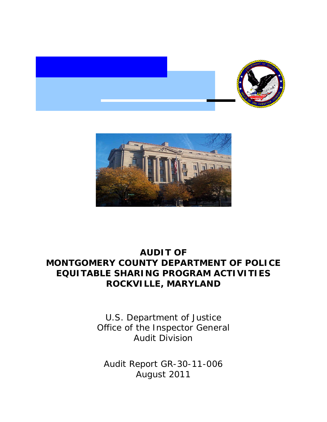



# **AUDIT OF MONTGOMERY COUNTY DEPARTMENT OF POLICE EQUITABLE SHARING PROGRAM ACTIVITIES ROCKVILLE, MARYLAND**

U.S. Department of Justice Office of the Inspector General Audit Division

Audit Report GR-30-11-006 August 2011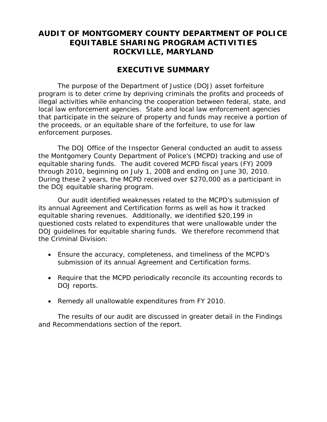## **AUDIT OF MONTGOMERY COUNTY DEPARTMENT OF POLICE EQUITABLE SHARING PROGRAM ACTIVITIES ROCKVILLE, MARYLAND**

## **EXECUTIVE SUMMARY**

The purpose of the Department of Justice (DOJ) asset forfeiture program is to deter crime by depriving criminals the profits and proceeds of illegal activities while enhancing the cooperation between federal, state, and local law enforcement agencies. State and local law enforcement agencies that participate in the seizure of property and funds may receive a portion of the proceeds, or an equitable share of the forfeiture, to use for law enforcement purposes.

The DOJ Office of the Inspector General conducted an audit to assess the Montgomery County Department of Police's (MCPD) tracking and use of equitable sharing funds. The audit covered MCPD fiscal years (FY) 2009 through 2010, beginning on July 1, 2008 and ending on June 30, 2010. During these 2 years, the MCPD received over \$270,000 as a participant in the DOJ equitable sharing program.

Our audit identified weaknesses related to the MCPD's submission of its annual Agreement and Certification forms as well as how it tracked equitable sharing revenues. Additionally, we identified \$20,199 in questioned costs related to expenditures that were unallowable under the DOJ guidelines for equitable sharing funds. We therefore recommend that the Criminal Division:

- Ensure the accuracy, completeness, and timeliness of the MCPD's submission of its annual Agreement and Certification forms.
- Require that the MCPD periodically reconcile its accounting records to DOJ reports.
- Remedy all unallowable expenditures from FY 2010.

The results of our audit are discussed in greater detail in the Findings and Recommendations section of the report.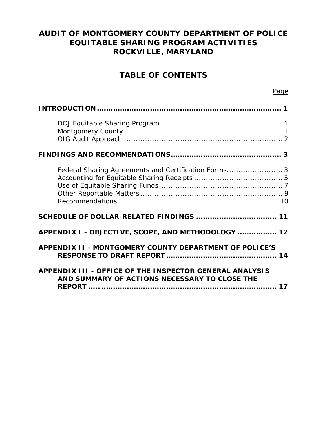## **AUDIT OF MONTGOMERY COUNTY DEPARTMENT OF POLICE EQUITABLE SHARING PROGRAM ACTIVITIES ROCKVILLE, MARYLAND**

## **TABLE OF CONTENTS**

| Federal Sharing Agreements and Certification Forms3                                                      |
|----------------------------------------------------------------------------------------------------------|
|                                                                                                          |
| APPENDIX I - OBJECTIVE, SCOPE, AND METHODOLOGY  12                                                       |
| APPENDIX II - MONTGOMERY COUNTY DEPARTMENT OF POLICE'S                                                   |
| APPENDIX III - OFFICE OF THE INSPECTOR GENERAL ANALYSIS<br>AND SUMMARY OF ACTIONS NECESSARY TO CLOSE THE |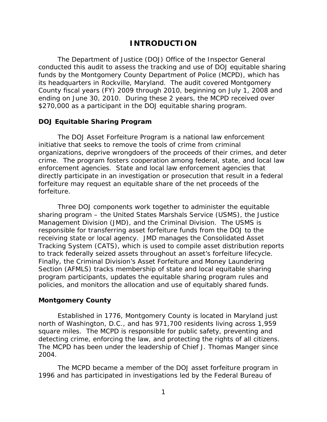## **INTRODUCTION**

<span id="page-3-0"></span>The Department of Justice (DOJ) Office of the Inspector General conducted this audit to assess the tracking and use of DOJ equitable sharing funds by the Montgomery County Department of Police (MCPD), which has its headquarters in Rockville, Maryland. The audit covered Montgomery County fiscal years (FY) 2009 through 2010, beginning on July 1, 2008 and ending on June 30, 2010. During these 2 years, the MCPD received over \$270,000 as a participant in the DOJ equitable sharing program.

#### **DOJ Equitable Sharing Program**

forfeiture. The DOJ Asset Forfeiture Program is a national law enforcement initiative that seeks to remove the tools of crime from criminal organizations, deprive wrongdoers of the proceeds of their crimes, and deter crime. The program fosters cooperation among federal, state, and local law enforcement agencies. State and local law enforcement agencies that directly participate in an investigation or prosecution that result in a federal forfeiture may request an equitable share of the net proceeds of the

Three DOJ components work together to administer the equitable sharing program – the United States Marshals Service (USMS), the Justice Management Division (JMD), and the Criminal Division. The USMS is responsible for transferring asset forfeiture funds from the DOJ to the receiving state or local agency. JMD manages the Consolidated Asset Tracking System (CATS), which is used to compile asset distribution reports to track federally seized assets throughout an asset's forfeiture lifecycle. Finally, the Criminal Division's Asset Forfeiture and Money Laundering Section (AFMLS) tracks membership of state and local equitable sharing program participants, updates the equitable sharing program rules and policies, and monitors the allocation and use of equitably shared funds.

#### **Montgomery County**

Established in 1776, Montgomery County is located in Maryland just north of Washington, D.C., and has 971,700 residents living across 1,959 square miles. The MCPD is responsible for public safety, preventing and detecting crime, enforcing the law, and protecting the rights of all citizens. The MCPD has been under the leadership of Chief J. Thomas Manger since 2004.

The MCPD became a member of the DOJ asset forfeiture program in 1996 and has participated in investigations led by the Federal Bureau of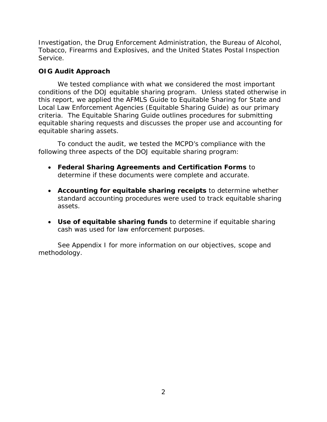<span id="page-4-0"></span>Investigation, the Drug Enforcement Administration, the Bureau of Alcohol, Tobacco, Firearms and Explosives, and the United States Postal Inspection Service.

## **OIG Audit Approach**

We tested compliance with what we considered the most important conditions of the DOJ equitable sharing program. Unless stated otherwise in this report, we applied the AFMLS *Guide to Equitable Sharing for State and Local Law Enforcement Agencies (Equitable Sharing Guide)* as our primary criteria. The Equitable Sharing Guide outlines procedures for submitting equitable sharing requests and discusses the proper use and accounting for equitable sharing assets.

To conduct the audit, we tested the MCPD's compliance with the following three aspects of the DOJ equitable sharing program:

- **Federal Sharing Agreements and Certification Forms** to determine if these documents were complete and accurate.
- **Accounting for equitable sharing receipts** to determine whether standard accounting procedures were used to track equitable sharing assets.
- **Use of equitable sharing funds** to determine if equitable sharing cash was used for law enforcement purposes.

See Appendix I for more information on our objectives, scope and methodology.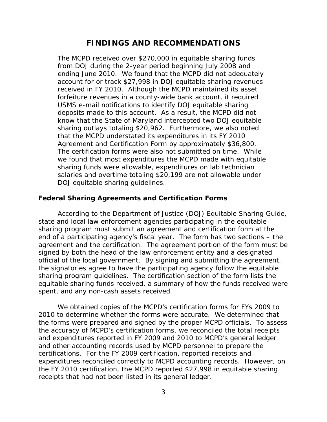## **FINDINGS AND RECOMMENDATIONS**

<span id="page-5-0"></span>The MCPD received over \$270,000 in equitable sharing funds from DOJ during the 2-year period beginning July 2008 and ending June 2010. We found that the MCPD did not adequately account for or track \$27,998 in DOJ equitable sharing revenues received in FY 2010. Although the MCPD maintained its asset forfeiture revenues in a county-wide bank account, it required USMS e-mail notifications to identify DOJ equitable sharing deposits made to this account. As a result, the MCPD did not know that the State of Maryland intercepted two DOJ equitable sharing outlays totaling \$20,962. Furthermore, we also noted that the MCPD understated its expenditures in its FY 2010 Agreement and Certification Form by approximately \$36,800. The certification forms were also not submitted on time. While we found that most expenditures the MCPD made with equitable sharing funds were allowable, expenditures on lab technician salaries and overtime totaling \$20,199 are not allowable under DOJ equitable sharing guidelines.

#### **Federal Sharing Agreements and Certification Forms**

According to the Department of Justice (DOJ) Equitable Sharing Guide, state and local law enforcement agencies participating in the equitable sharing program must submit an agreement and certification form at the end of a participating agency's fiscal year. The form has two sections – the agreement and the certification. The agreement portion of the form must be signed by both the head of the law enforcement entity and a designated official of the local government. By signing and submitting the agreement, the signatories agree to have the participating agency follow the equitable sharing program guidelines. The certification section of the form lists the equitable sharing funds received, a summary of how the funds received were spent, and any non-cash assets received.

We obtained copies of the MCPD's certification forms for FYs 2009 to 2010 to determine whether the forms were accurate. We determined that the forms were prepared and signed by the proper MCPD officials. To assess the accuracy of MCPD's certification forms, we reconciled the total receipts and expenditures reported in FY 2009 and 2010 to MCPD's general ledger and other accounting records used by MCPD personnel to prepare the certifications. For the FY 2009 certification, reported receipts and expenditures reconciled correctly to MCPD accounting records. However, on the FY 2010 certification, the MCPD reported \$27,998 in equitable sharing receipts that had not been listed in its general ledger.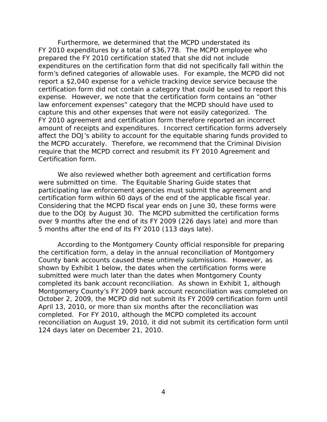Furthermore, we determined that the MCPD understated its FY 2010 expenditures by a total of \$36,778. The MCPD employee who prepared the FY 2010 certification stated that she did not include expenditures on the certification form that did not specifically fall within the form's defined categories of allowable uses. For example, the MCPD did not report a \$2,040 expense for a vehicle tracking device service because the certification form did not contain a category that could be used to report this expense. However, we note that the certification form contains an "other law enforcement expenses" category that the MCPD should have used to capture this and other expenses that were not easily categorized. The FY 2010 agreement and certification form therefore reported an incorrect amount of receipts and expenditures. Incorrect certification forms adversely affect the DOJ's ability to account for the equitable sharing funds provided to the MCPD accurately. Therefore, we recommend that the Criminal Division require that the MCPD correct and resubmit its FY 2010 Agreement and Certification form.

We also reviewed whether both agreement and certification forms were submitted on time. The Equitable Sharing Guide states that participating law enforcement agencies must submit the agreement and certification form within 60 days of the end of the applicable fiscal year. Considering that the MCPD fiscal year ends on June 30, these forms were due to the DOJ by August 30. The MCPD submitted the certification forms over 9 months after the end of its FY 2009 (226 days late) and more than 5 months after the end of its FY 2010 (113 days late).

According to the Montgomery County official responsible for preparing the certification form, a delay in the annual reconciliation of Montgomery County bank accounts caused these untimely submissions. However, as shown by Exhibit 1 below, the dates when the certification forms were submitted were much later than the dates when Montgomery County completed its bank account reconciliation. As shown in Exhibit 1, although Montgomery County's FY 2009 bank account reconciliation was completed on October 2, 2009, the MCPD did not submit its FY 2009 certification form until April 13, 2010, or more than six months after the reconciliation was completed. For FY 2010, although the MCPD completed its account reconciliation on August 19, 2010, it did not submit its certification form until 124 days later on December 21, 2010.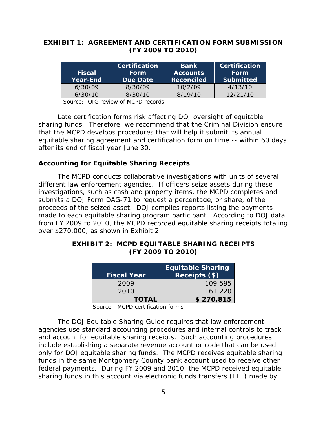## **EXHIBIT 1: AGREEMENT AND CERTIFICATION FORM SUBMISSION (FY 2009 TO 2010)**

|                 | <b>Certification</b> | <b>Bank</b>                    | Certification    |
|-----------------|----------------------|--------------------------------|------------------|
| <b>Fiscal</b>   | Form                 | <b>Form</b><br><b>Accounts</b> |                  |
| <b>Year-End</b> | Due Date             | <b>Reconciled</b>              | <b>Submitted</b> |
| 6/30/09         | 8/30/09              | 10/2/09                        | 4/13/10          |
| 6/30/10         | 8/30/10              | 8/19/10                        | 12/21/10         |

Source: OIG review of MCPD records

Late certification forms risk affecting DOJ oversight of equitable sharing funds. Therefore, we recommend that the Criminal Division ensure that the MCPD develops procedures that will help it submit its annual equitable sharing agreement and certification form on time -- within 60 days after its end of fiscal year June 30.

### **Accounting for Equitable Sharing Receipts**

The MCPD conducts collaborative investigations with units of several different law enforcement agencies. If officers seize assets during these investigations, such as cash and property items, the MCPD completes and submits a DOJ Form DAG-71 to request a percentage, or share, of the proceeds of the seized asset. DOJ compiles reports listing the payments made to each equitable sharing program participant. According to DOJ data, from FY 2009 to 2010, the MCPD recorded equitable sharing receipts totaling over \$270,000, as shown in Exhibit 2.

### **EXHIBIT 2: MCPD EQUITABLE SHARING RECEIPTS (FY 2009 TO 2010)**

| <b>Fiscal Year</b> | <b>Equitable Sharing</b><br>Receipts (\$) |
|--------------------|-------------------------------------------|
| 2009               | 109,595                                   |
| 2010               | 161,220                                   |
| <b>TOTAL</b>       | \$270,815                                 |

Source: MCPD certification forms

The DOJ Equitable Sharing Guide requires that law enforcement agencies use standard accounting procedures and internal controls to track and account for equitable sharing receipts. Such accounting procedures include establishing a separate revenue account or code that can be used only for DOJ equitable sharing funds. The MCPD receives equitable sharing funds in the same Montgomery County bank account used to receive other federal payments. During FY 2009 and 2010, the MCPD received equitable sharing funds in this account via electronic funds transfers (EFT) made by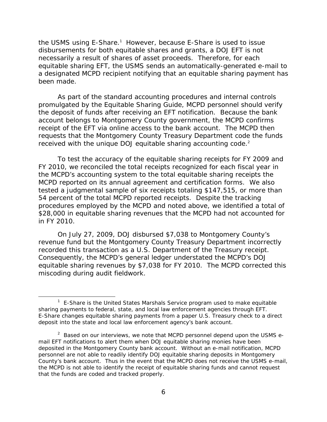the USMS using E-Share.<sup>1</sup> However, because E-Share is used to issue disbursements for both equitable shares and grants, a DOJ EFT is not necessarily a result of shares of asset proceeds. Therefore, for each equitable sharing EFT, the USMS sends an automatically-generated e-mail to a designated MCPD recipient notifying that an equitable sharing payment has been made.

received with the unique DOJ equitable sharing accounting code. $2$ As part of the standard accounting procedures and internal controls promulgated by the Equitable Sharing Guide, MCPD personnel should verify the deposit of funds after receiving an EFT notification. Because the bank account belongs to Montgomery County government, the MCPD confirms receipt of the EFT via online access to the bank account. The MCPD then requests that the Montgomery County Treasury Department code the funds

To test the accuracy of the equitable sharing receipts for FY 2009 and FY 2010, we reconciled the total receipts recognized for each fiscal year in the MCPD's accounting system to the total equitable sharing receipts the MCPD reported on its annual agreement and certification forms. We also tested a judgmental sample of six receipts totaling \$147,515, or more than 54 percent of the total MCPD reported receipts. Despite the tracking procedures employed by the MCPD and noted above, we identified a total of \$28,000 in equitable sharing revenues that the MCPD had not accounted for in FY 2010.

On July 27, 2009, DOJ disbursed \$7,038 to Montgomery County's revenue fund but the Montgomery County Treasury Department incorrectly recorded this transaction as a U.S. Department of the Treasury receipt. Consequently, the MCPD's general ledger understated the MCPD's DOJ equitable sharing revenues by \$7,038 for FY 2010. The MCPD corrected this miscoding during audit fieldwork.

<sup>&</sup>lt;sup>1</sup> E-Share is the United States Marshals Service program used to make equitable sharing payments to federal, state, and local law enforcement agencies through EFT. E-Share changes equitable sharing payments from a paper U.S. Treasury check to a direct deposit into the state and local law enforcement agency's bank account.

 personnel are not able to readily identify DOJ equitable sharing deposits in Montgomery  $2$  Based on our interviews, we note that MCPD personnel depend upon the USMS email EFT notifications to alert them when DOJ equitable sharing monies have been deposited in the Montgomery County bank account. Without an e-mail notification, MCPD County's bank account. Thus in the event that the MCPD does not receive the USMS e-mail, the MCPD is not able to identify the receipt of equitable sharing funds and cannot request that the funds are coded and tracked properly.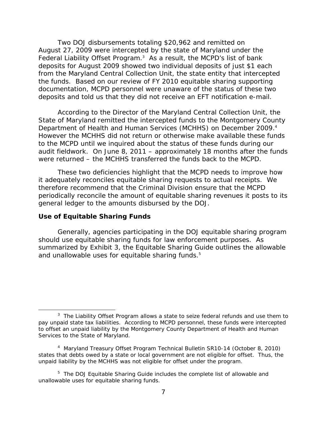<span id="page-9-0"></span>Two DOJ disbursements totaling \$20,962 and remitted on August 27, 2009 were intercepted by the state of Maryland under the Federal Liability Offset Program.<sup>3</sup> As a result, the MCPD's list of bank deposits for August 2009 showed two individual deposits of just \$1 each from the Maryland Central Collection Unit, the state entity that intercepted the funds. Based on our review of FY 2010 equitable sharing supporting documentation, MCPD personnel were unaware of the status of these two deposits and told us that they did not receive an EFT notification e-mail.

Department of Health and Human Services (MCHHS) on December 2009.<sup>4</sup> According to the Director of the Maryland Central Collection Unit, the State of Maryland remitted the intercepted funds to the Montgomery County However the MCHHS did not return or otherwise make available these funds to the MCPD until we inquired about the status of these funds during our audit fieldwork. On June 8, 2011 – approximately 18 months after the funds were returned – the MCHHS transferred the funds back to the MCPD.

These two deficiencies highlight that the MCPD needs to improve how it adequately reconciles equitable sharing requests to actual receipts. We therefore recommend that the Criminal Division ensure that the MCPD periodically reconcile the amount of equitable sharing revenues it posts to its general ledger to the amounts disbursed by the DOJ.

#### **Use of Equitable Sharing Funds**

Generally, agencies participating in the DOJ equitable sharing program should use equitable sharing funds for law enforcement purposes. As summarized by Exhibit 3, the Equitable Sharing Guide outlines the allowable and unallowable uses for equitable sharing funds.<sup>5</sup>

 $3$  The Liability Offset Program allows a state to seize federal refunds and use them to pay unpaid state tax liabilities. According to MCPD personnel, these funds were intercepted to offset an unpaid liability by the Montgomery County Department of Health and Human Services to the State of Maryland.

 states that debts owed by a state or local government are not eligible for offset. Thus, the <sup>4</sup> Maryland Treasury Offset Program Technical Bulletin SR10-14 (October 8, 2010) unpaid liability by the MCHHS was not eligible for offset under the program.

<sup>&</sup>lt;sup>5</sup> The DOJ Equitable Sharing Guide includes the complete list of allowable and unallowable uses for equitable sharing funds.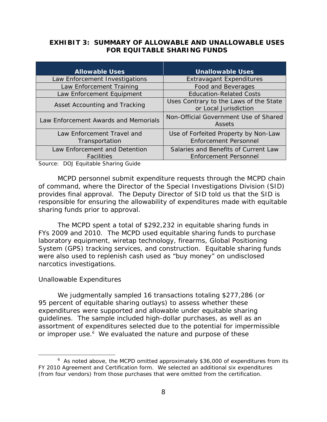### **EXHIBIT 3: SUMMARY OF ALLOWABLE AND UNALLOWABLE USES FOR EQUITABLE SHARING FUNDS**

| <b>Allowable Uses</b>                              | <b>Unallowable Uses</b>                                              |
|----------------------------------------------------|----------------------------------------------------------------------|
| Law Enforcement Investigations                     | <b>Extravagant Expenditures</b>                                      |
| Law Enforcement Training                           | Food and Beverages                                                   |
| Law Enforcement Equipment                          | <b>Education-Related Costs</b>                                       |
| Asset Accounting and Tracking                      | Uses Contrary to the Laws of the State<br>or Local Jurisdiction      |
| Law Enforcement Awards and Memorials               | Non-Official Government Use of Shared<br>Assets                      |
| Law Enforcement Travel and<br>Transportation       | Use of Forfeited Property by Non-Law<br><b>Enforcement Personnel</b> |
| Law Enforcement and Detention<br><b>Facilities</b> | Salaries and Benefits of Current Law<br><b>Enforcement Personnel</b> |

Source: DOJ Equitable Sharing Guide

MCPD personnel submit expenditure requests through the MCPD chain of command, where the Director of the Special Investigations Division (SID) provides final approval. The Deputy Director of SID told us that the SID is responsible for ensuring the allowability of expenditures made with equitable sharing funds prior to approval.

The MCPD spent a total of \$292,232 in equitable sharing funds in FYs 2009 and 2010. The MCPD used equitable sharing funds to purchase laboratory equipment, wiretap technology, firearms, Global Positioning System (GPS) tracking services, and construction. Equitable sharing funds were also used to replenish cash used as "buy money" on undisclosed narcotics investigations.

## *Unallowable Expenditures*

We judgmentally sampled 16 transactions totaling \$277,286 (or 95 percent of equitable sharing outlays) to assess whether these expenditures were supported and allowable under equitable sharing guidelines. The sample included high-dollar purchases, as well as an assortment of expenditures selected due to the potential for impermissible or improper use.<sup>6</sup> We evaluated the nature and purpose of these

 $6$  As noted above, the MCPD omitted approximately \$36,000 of expenditures from its FY 2010 Agreement and Certification form. We selected an additional six expenditures (from four vendors) from those purchases that were omitted from the certification.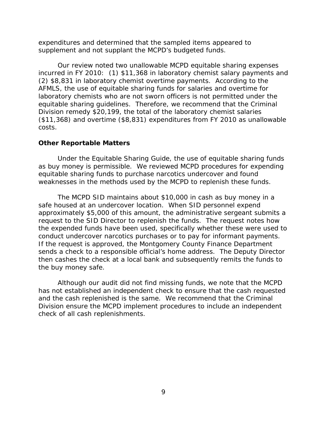<span id="page-11-0"></span>supplement and not supplant the MCPD's budgeted funds. expenditures and determined that the sampled items appeared to

Our review noted two unallowable MCPD equitable sharing expenses incurred in FY 2010: (1) \$11,368 in laboratory chemist salary payments and (2) \$8,831 in laboratory chemist overtime payments. According to the AFMLS, the use of equitable sharing funds for salaries and overtime for laboratory chemists who are not sworn officers is not permitted under the equitable sharing guidelines. Therefore, we recommend that the Criminal Division remedy \$20,199, the total of the laboratory chemist salaries (\$11,368) and overtime (\$8,831) expenditures from FY 2010 as unallowable costs.

### **Other Reportable Matters**

Under the Equitable Sharing Guide, the use of equitable sharing funds as buy money is permissible. We reviewed MCPD procedures for expending equitable sharing funds to purchase narcotics undercover and found weaknesses in the methods used by the MCPD to replenish these funds.

The MCPD SID maintains about \$10,000 in cash as buy money in a safe housed at an undercover location. When SID personnel expend approximately \$5,000 of this amount, the administrative sergeant submits a request to the SID Director to replenish the funds. The request notes how the expended funds have been used, specifically whether these were used to conduct undercover narcotics purchases or to pay for informant payments. If the request is approved, the Montgomery County Finance Department sends a check to a responsible official's home address. The Deputy Director then cashes the check at a local bank and subsequently remits the funds to the buy money safe.

Although our audit did not find missing funds, we note that the MCPD has not established an independent check to ensure that the cash requested and the cash replenished is the same. We recommend that the Criminal Division ensure the MCPD implement procedures to include an independent check of all cash replenishments.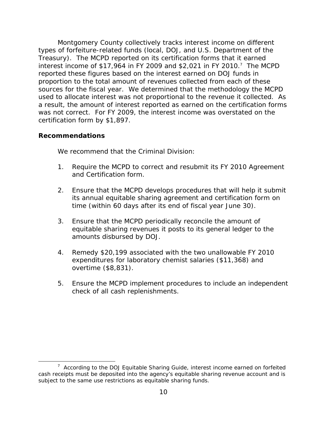<span id="page-12-0"></span> certification form by \$1,897. Montgomery County collectively tracks interest income on different types of forfeiture-related funds (local, DOJ, and U.S. Department of the Treasury). The MCPD reported on its certification forms that it earned interest income of \$17,964 in FY 2009 and \$2,021 in FY 2010.7 The MCPD reported these figures based on the interest earned on DOJ funds in proportion to the total amount of revenues collected from each of these sources for the fiscal year. We determined that the methodology the MCPD used to allocate interest was not proportional to the revenue it collected. As a result, the amount of interest reported as earned on the certification forms was not correct. For FY 2009, the interest income was overstated on the

### **Recommendations**

We recommend that the Criminal Division:

- 1. Require the MCPD to correct and resubmit its FY 2010 Agreement and Certification form.
- 2. Ensure that the MCPD develops procedures that will help it submit its annual equitable sharing agreement and certification form on time (within 60 days after its end of fiscal year June 30).
- 3. Ensure that the MCPD periodically reconcile the amount of equitable sharing revenues it posts to its general ledger to the amounts disbursed by DOJ.
- 4. Remedy \$20,199 associated with the two unallowable FY 2010 expenditures for laboratory chemist salaries (\$11,368) and overtime (\$8,831).
- 5. Ensure the MCPD implement procedures to include an independent check of all cash replenishments.

subject to the same use restrictions as equitable sharing funds.<br>10  $7$  According to the DOJ Equitable Sharing Guide, interest income earned on forfeited cash receipts must be deposited into the agency's equitable sharing revenue account and is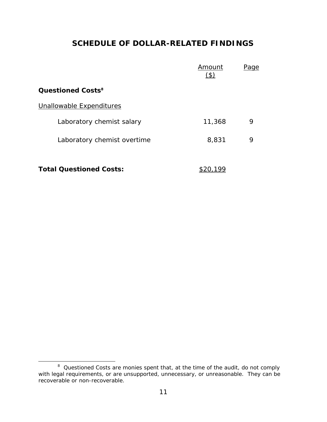## **SCHEDULE OF DOLLAR-RELATED FINDINGS**

|                                | Amount<br>$\mathfrak{B}$ | <u>Page</u> |
|--------------------------------|--------------------------|-------------|
| Questioned Costs <sup>8</sup>  |                          |             |
| Unallowable Expenditures       |                          |             |
| Laboratory chemist salary      | 11,368                   | 9           |
| Laboratory chemist overtime    | 8,831                    | 9           |
| <b>Total Questioned Costs:</b> |                          |             |

 <sup>8</sup>*Questioned Costs* are monies spent that, at the time of the audit, do not comply with legal requirements, or are unsupported, unnecessary, or unreasonable. They can be recoverable or non-recoverable.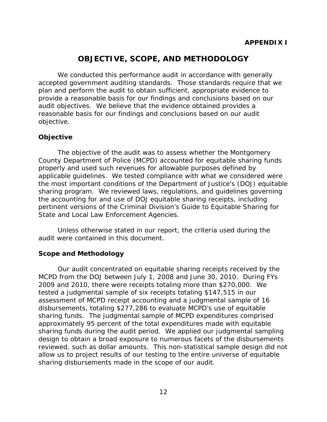## **OBJECTIVE, SCOPE, AND METHODOLOGY**

<span id="page-14-0"></span>We conducted this performance audit in accordance with generally accepted government auditing standards. Those standards require that we plan and perform the audit to obtain sufficient, appropriate evidence to provide a reasonable basis for our findings and conclusions based on our audit objectives. We believe that the evidence obtained provides a reasonable basis for our findings and conclusions based on our audit objective.

## **Objective**

The objective of the audit was to assess whether the Montgomery County Department of Police (MCPD) accounted for equitable sharing funds properly and used such revenues for allowable purposes defined by applicable guidelines. We tested compliance with what we considered were the most important conditions of the Department of Justice's (DOJ) equitable sharing program. We reviewed laws, regulations, and guidelines governing the accounting for and use of DOJ equitable sharing receipts, including pertinent versions of the Criminal Division's *Guide to Equitable Sharing for State and Local Law Enforcement Agencies*.

Unless otherwise stated in our report, the criteria used during the audit were contained in this document.

## **Scope and Methodology**

Our audit concentrated on equitable sharing receipts received by the MCPD from the DOJ between July 1, 2008 and June 30, 2010. During FYs 2009 and 2010, there were receipts totaling more than \$270,000. We tested a judgmental sample of six receipts totaling \$147,515 in our assessment of MCPD receipt accounting and a judgmental sample of 16 disbursements, totaling \$277,286 to evaluate MCPD's use of equitable sharing funds. The judgmental sample of MCPD expenditures comprised approximately 95 percent of the total expenditures made with equitable sharing funds during the audit period. We applied our judgmental sampling design to obtain a broad exposure to numerous facets of the disbursements reviewed, such as dollar amounts. This non-statistical sample design did not allow us to project results of our testing to the entire universe of equitable sharing disbursements made in the scope of our audit.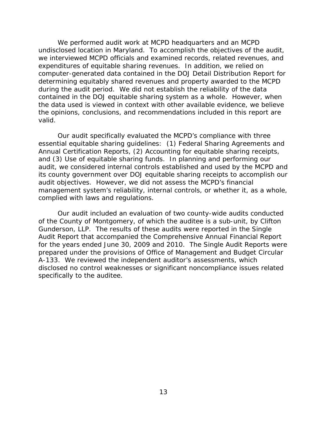We performed audit work at MCPD headquarters and an MCPD undisclosed location in Maryland. To accomplish the objectives of the audit, we interviewed MCPD officials and examined records, related revenues, and expenditures of equitable sharing revenues. In addition, we relied on computer-generated data contained in the DOJ Detail Distribution Report for determining equitably shared revenues and property awarded to the MCPD during the audit period. We did not establish the reliability of the data contained in the DOJ equitable sharing system as a whole. However, when the data used is viewed in context with other available evidence, we believe the opinions, conclusions, and recommendations included in this report are valid.

Our audit specifically evaluated the MCPD's compliance with three essential equitable sharing guidelines: (1) Federal Sharing Agreements and Annual Certification Reports, (2) Accounting for equitable sharing receipts, and (3) Use of equitable sharing funds. In planning and performing our audit, we considered internal controls established and used by the MCPD and its county government over DOJ equitable sharing receipts to accomplish our audit objectives. However, we did not assess the MCPD's financial management system's reliability, internal controls, or whether it, as a whole, complied with laws and regulations.

Our audit included an evaluation of two county-wide audits conducted of the County of Montgomery, of which the auditee is a sub-unit, by Clifton Gunderson, LLP. The results of these audits were reported in the Single Audit Report that accompanied the Comprehensive Annual Financial Report for the years ended June 30, 2009 and 2010. The Single Audit Reports were prepared under the provisions of Office of Management and Budget Circular A-133. We reviewed the independent auditor's assessments, which disclosed no control weaknesses or significant noncompliance issues related specifically to the auditee.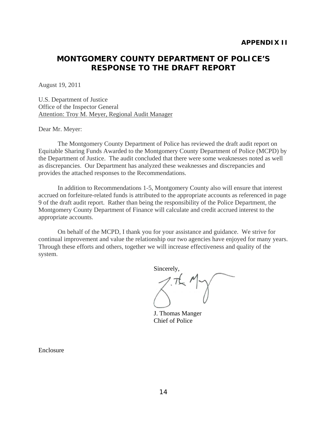## <span id="page-16-0"></span>**MONTGOMERY COUNTY DEPARTMENT OF POLICE'S RESPONSE TO THE DRAFT REPORT**

August 19, 2011

U.S. Department of Justice Office of the Inspector General Attention: Troy M. Meyer, Regional Audit Manager

Dear Mr. Meyer:

The Montgomery County Department of Police has reviewed the draft audit report on Equitable Sharing Funds Awarded to the Montgomery County Department of Police (MCPD) by the Department of Justice. The audit concluded that there were some weaknesses noted as well as discrepancies. Our Department has analyzed these weaknesses and discrepancies and provides the attached responses to the Recommendations.

In addition to Recommendations 1-5, Montgomery County also will ensure that interest accrued on forfeiture-related funds is attributed to the appropriate accounts as referenced in page 9 of the draft audit report. Rather than being the responsibility of the Police Department, the Montgomery County Department of Finance will calculate and credit accrued interest to the appropriate accounts.

On behalf of the MCPD, I thank you for your assistance and guidance. We strive for continual improvement and value the relationship our two agencies have enjoyed for many years. Through these efforts and others, together we will increase effectiveness and quality of the system.

Sincerely,

J. Thomas Manger Chief of Police

Enclosure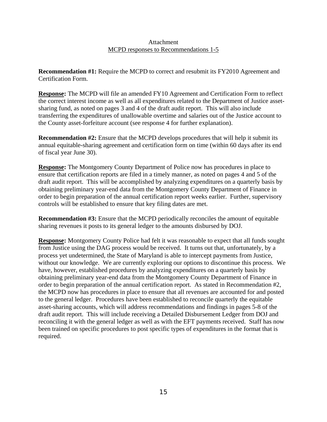#### Attachment MCPD responses to Recommendations 1-5

**Recommendation #1:** Require the MCPD to correct and resubmit its FY2010 Agreement and Certification Form.

**Response:** The MCPD will file an amended FY10 Agreement and Certification Form to reflect the correct interest income as well as all expenditures related to the Department of Justice assetsharing fund, as noted on pages 3 and 4 of the draft audit report. This will also include transferring the expenditures of unallowable overtime and salaries out of the Justice account to the County asset-forfeiture account (see response 4 for further explanation).

**Recommendation #2:** Ensure that the MCPD develops procedures that will help it submit its annual equitable-sharing agreement and certification form on time (within 60 days after its end of fiscal year June 30).

**Response:** The Montgomery County Department of Police now has procedures in place to ensure that certification reports are filed in a timely manner, as noted on pages 4 and 5 of the draft audit report. This will be accomplished by analyzing expenditures on a quarterly basis by obtaining preliminary year-end data from the Montgomery County Department of Finance in order to begin preparation of the annual certification report weeks earlier. Further, supervisory controls will be established to ensure that key filing dates are met.

**Recommendation #3:** Ensure that the MCPD periodically reconciles the amount of equitable sharing revenues it posts to its general ledger to the amounts disbursed by DOJ.

**Response:** Montgomery County Police had felt it was reasonable to expect that all funds sought from Justice using the DAG process would be received. It turns out that, unfortunately, by a process yet undetermined, the State of Maryland is able to intercept payments from Justice, without our knowledge. We are currently exploring our options to discontinue this process. We have, however, established procedures by analyzing expenditures on a quarterly basis by obtaining preliminary year-end data from the Montgomery County Department of Finance in order to begin preparation of the annual certification report. As stated in Recommendation #2, the MCPD now has procedures in place to ensure that all revenues are accounted for and posted to the general ledger. Procedures have been established to reconcile quarterly the equitable asset-sharing accounts, which will address recommendations and findings in pages 5-8 of the draft audit report. This will include receiving a Detailed Disbursement Ledger from DOJ and reconciling it with the general ledger as well as with the EFT payments received. Staff has now been trained on specific procedures to post specific types of expenditures in the format that is required.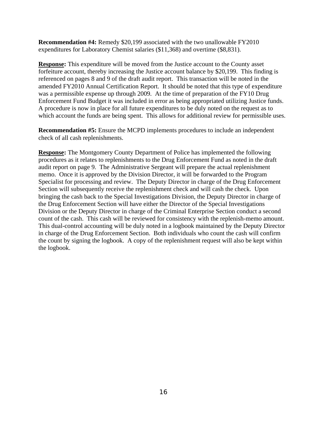**Recommendation #4:** Remedy \$20,199 associated with the two unallowable FY2010 expenditures for Laboratory Chemist salaries (\$11,368) and overtime (\$8,831).

**Response:** This expenditure will be moved from the Justice account to the County asset forfeiture account, thereby increasing the Justice account balance by \$20,199. This finding is referenced on pages 8 and 9 of the draft audit report. This transaction will be noted in the amended FY2010 Annual Certification Report. It should be noted that this type of expenditure was a permissible expense up through 2009. At the time of preparation of the FY10 Drug Enforcement Fund Budget it was included in error as being appropriated utilizing Justice funds. A procedure is now in place for all future expenditures to be duly noted on the request as to which account the funds are being spent. This allows for additional review for permissible uses.

**Recommendation #5:** Ensure the MCPD implements procedures to include an independent check of all cash replenishments.

**Response:** The Montgomery County Department of Police has implemented the following procedures as it relates to replenishments to the Drug Enforcement Fund as noted in the draft audit report on page 9. The Administrative Sergeant will prepare the actual replenishment memo. Once it is approved by the Division Director, it will be forwarded to the Program Specialist for processing and review. The Deputy Director in charge of the Drug Enforcement Section will subsequently receive the replenishment check and will cash the check. Upon bringing the cash back to the Special Investigations Division, the Deputy Director in charge of the Drug Enforcement Section will have either the Director of the Special Investigations Division or the Deputy Director in charge of the Criminal Enterprise Section conduct a second count of the cash. This cash will be reviewed for consistency with the replenish-memo amount. This dual-control accounting will be duly noted in a logbook maintained by the Deputy Director in charge of the Drug Enforcement Section. Both individuals who count the cash will confirm the count by signing the logbook. A copy of the replenishment request will also be kept within the logbook.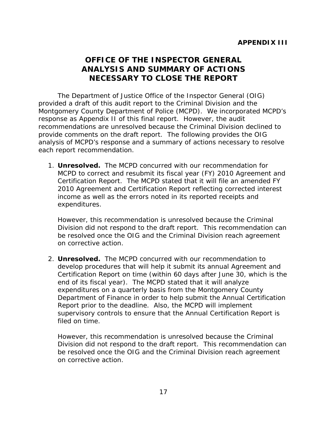## <span id="page-19-0"></span>**OFFICE OF THE INSPECTOR GENERAL ANALYSIS AND SUMMARY OF ACTIONS NECESSARY TO CLOSE THE REPORT**

The Department of Justice Office of the Inspector General (OIG) provided a draft of this audit report to the Criminal Division and the Montgomery County Department of Police (MCPD). We incorporated MCPD's response as Appendix II of this final report. However, the audit recommendations are unresolved because the Criminal Division declined to provide comments on the draft report. The following provides the OIG analysis of MCPD's response and a summary of actions necessary to resolve each report recommendation.

1. **Unresolved.** The MCPD concurred with our recommendation for MCPD to correct and resubmit its fiscal year (FY) 2010 Agreement and Certification Report. The MCPD stated that it will file an amended FY 2010 Agreement and Certification Report reflecting corrected interest income as well as the errors noted in its reported receipts and expenditures.

However, this recommendation is unresolved because the Criminal Division did not respond to the draft report. This recommendation can be resolved once the OIG and the Criminal Division reach agreement on corrective action.

2. **Unresolved.** The MCPD concurred with our recommendation to develop procedures that will help it submit its annual Agreement and Certification Report on time (within 60 days after June 30, which is the end of its fiscal year). The MCPD stated that it will analyze expenditures on a quarterly basis from the Montgomery County Department of Finance in order to help submit the Annual Certification Report prior to the deadline. Also, the MCPD will implement supervisory controls to ensure that the Annual Certification Report is filed on time.

However, this recommendation is unresolved because the Criminal Division did not respond to the draft report. This recommendation can be resolved once the OIG and the Criminal Division reach agreement on corrective action.